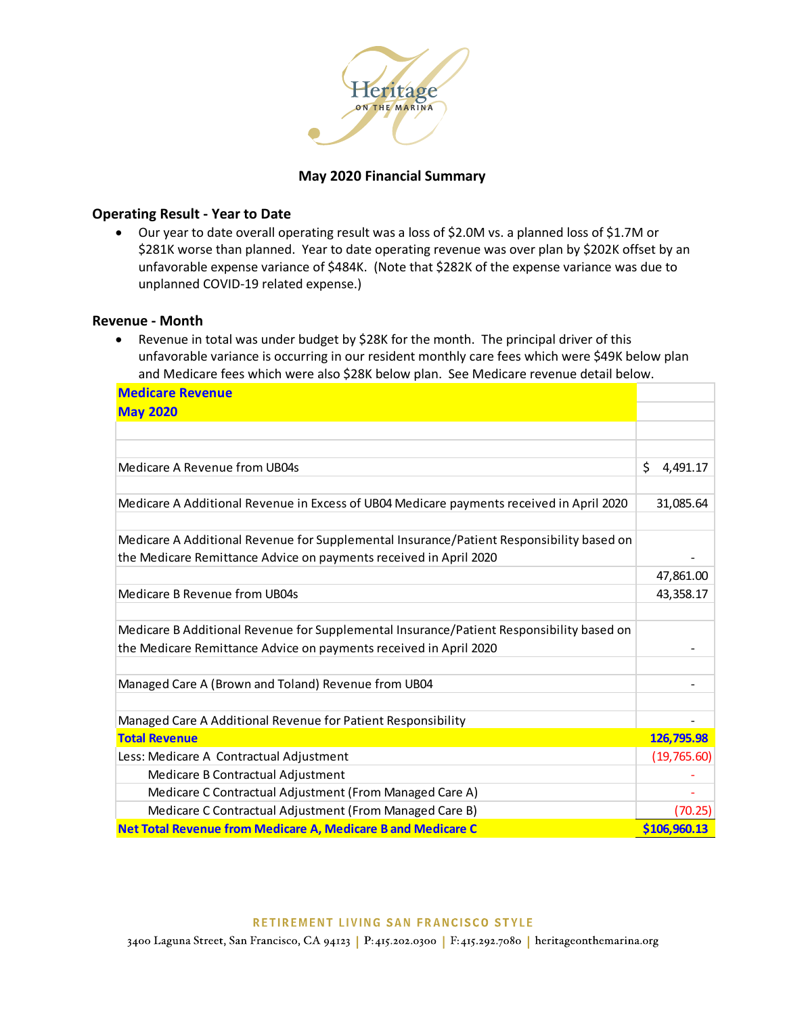

# **May 2020 Financial Summary**

## **Operating Result - Year to Date**

 Our year to date overall operating result was a loss of \$2.0M vs. a planned loss of \$1.7M or \$281K worse than planned. Year to date operating revenue was over plan by \$202K offset by an unfavorable expense variance of \$484K. (Note that \$282K of the expense variance was due to unplanned COVID-19 related expense.)

### **Revenue - Month**

• Revenue in total was under budget by \$28K for the month. The principal driver of this unfavorable variance is occurring in our resident monthly care fees which were \$49K below plan and Medicare fees which were also \$28K below plan. See Medicare revenue detail below.

| <b>Medicare Revenue</b>                                                                  |                |  |  |  |
|------------------------------------------------------------------------------------------|----------------|--|--|--|
| <b>May 2020</b>                                                                          |                |  |  |  |
|                                                                                          |                |  |  |  |
|                                                                                          |                |  |  |  |
| Medicare A Revenue from UB04s                                                            | \$<br>4,491.17 |  |  |  |
|                                                                                          |                |  |  |  |
| Medicare A Additional Revenue in Excess of UB04 Medicare payments received in April 2020 | 31,085.64      |  |  |  |
| Medicare A Additional Revenue for Supplemental Insurance/Patient Responsibility based on |                |  |  |  |
| the Medicare Remittance Advice on payments received in April 2020                        |                |  |  |  |
|                                                                                          | 47,861.00      |  |  |  |
| Medicare B Revenue from UB04s                                                            | 43,358.17      |  |  |  |
| Medicare B Additional Revenue for Supplemental Insurance/Patient Responsibility based on |                |  |  |  |
| the Medicare Remittance Advice on payments received in April 2020                        |                |  |  |  |
|                                                                                          |                |  |  |  |
| Managed Care A (Brown and Toland) Revenue from UB04                                      |                |  |  |  |
| Managed Care A Additional Revenue for Patient Responsibility                             |                |  |  |  |
| <b>Total Revenue</b>                                                                     | 126,795.98     |  |  |  |
| Less: Medicare A Contractual Adjustment                                                  | (19,765.60)    |  |  |  |
| Medicare B Contractual Adjustment                                                        |                |  |  |  |
| Medicare C Contractual Adjustment (From Managed Care A)                                  |                |  |  |  |
| Medicare C Contractual Adjustment (From Managed Care B)                                  | (70.25)        |  |  |  |
| Net Total Revenue from Medicare A, Medicare B and Medicare C                             | \$106,960.13   |  |  |  |

#### RETIREMENT LIVING SAN FRANCISCO STYLE

3400 Laguna Street, San Francisco, CA 94123 | P:415.202.0300 | F:415.292.7080 | heritageonthemarina.org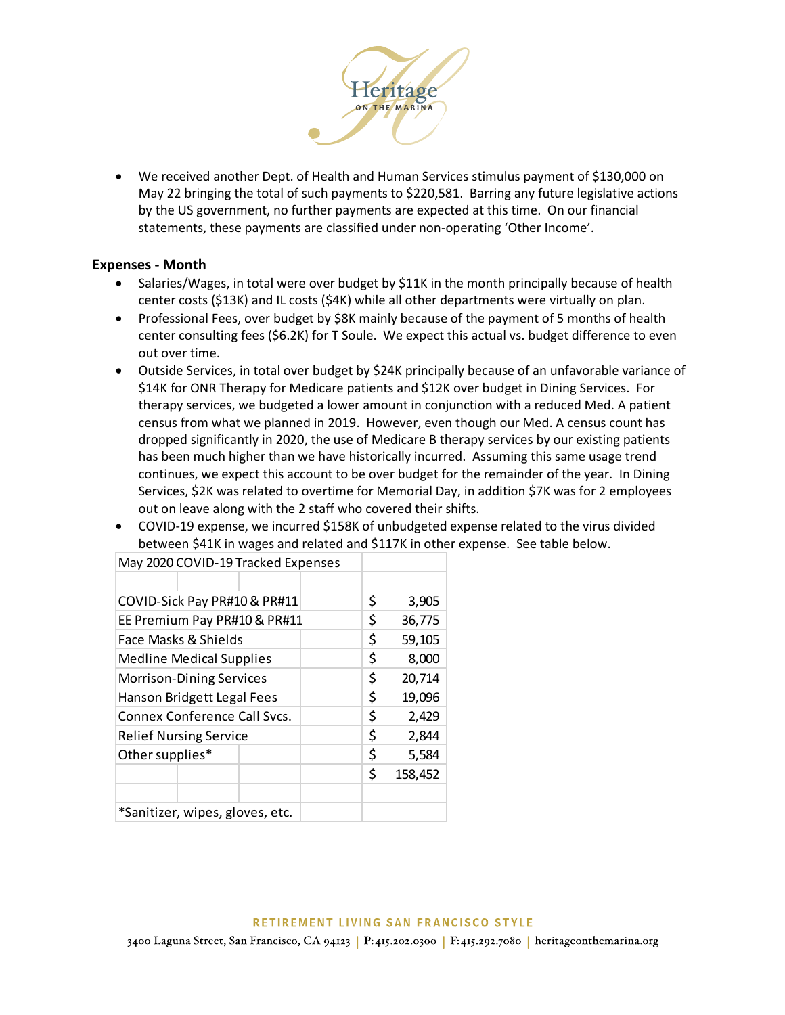

 We received another Dept. of Health and Human Services stimulus payment of \$130,000 on May 22 bringing the total of such payments to \$220,581. Barring any future legislative actions by the US government, no further payments are expected at this time. On our financial statements, these payments are classified under non-operating 'Other Income'.

## **Expenses - Month**

- Salaries/Wages, in total were over budget by \$11K in the month principally because of health center costs (\$13K) and IL costs (\$4K) while all other departments were virtually on plan.
- Professional Fees, over budget by \$8K mainly because of the payment of 5 months of health center consulting fees (\$6.2K) for T Soule. We expect this actual vs. budget difference to even out over time.
- Outside Services, in total over budget by \$24K principally because of an unfavorable variance of \$14K for ONR Therapy for Medicare patients and \$12K over budget in Dining Services. For therapy services, we budgeted a lower amount in conjunction with a reduced Med. A patient census from what we planned in 2019. However, even though our Med. A census count has dropped significantly in 2020, the use of Medicare B therapy services by our existing patients has been much higher than we have historically incurred. Assuming this same usage trend continues, we expect this account to be over budget for the remainder of the year. In Dining Services, \$2K was related to overtime for Memorial Day, in addition \$7K was for 2 employees out on leave along with the 2 staff who covered their shifts.
- COVID-19 expense, we incurred \$158K of unbudgeted expense related to the virus divided between \$41K in wages and related and \$117K in other expense. See table below.

| COVID-Sick Pay PR#10 & PR#11    |  |    | \$     | 3,905  |         |  |
|---------------------------------|--|----|--------|--------|---------|--|
| EE Premium Pay PR#10 & PR#11    |  |    | \$     | 36,775 |         |  |
| Face Masks & Shields            |  |    | \$     | 59,105 |         |  |
| <b>Medline Medical Supplies</b> |  |    | \$     | 8,000  |         |  |
| <b>Morrison-Dining Services</b> |  | \$ | 20,714 |        |         |  |
| Hanson Bridgett Legal Fees      |  | \$ | 19,096 |        |         |  |
| Connex Conference Call Sycs.    |  | \$ | 2,429  |        |         |  |
| <b>Relief Nursing Service</b>   |  |    | \$     | 2,844  |         |  |
| Other supplies*                 |  |    |        | \$     | 5,584   |  |
|                                 |  |    |        | \$     | 158,452 |  |
|                                 |  |    |        |        |         |  |
| *Sanitizer, wipes, gloves, etc. |  |    |        |        |         |  |

May 2020 COVID-19 Tracked Expenses

3400 Laguna Street, San Francisco, CA 94123 P:415.202.0300 | F:415.292.7080 | heritageonthemarina.org